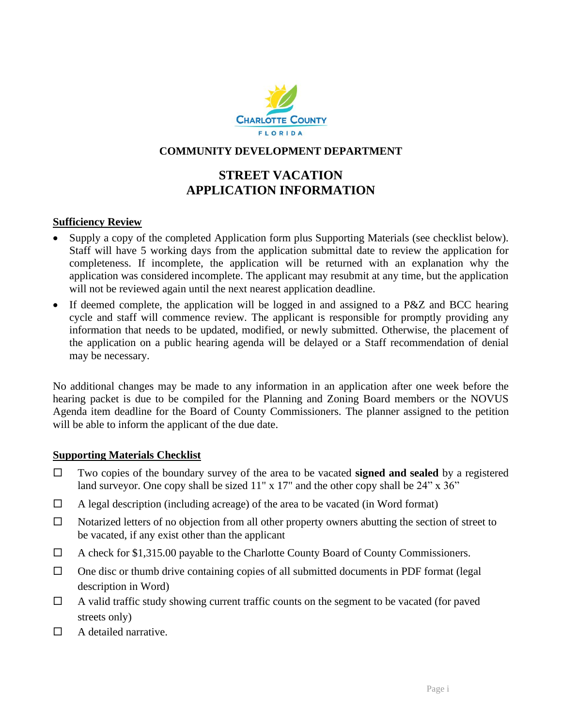

## **COMMUNITY DEVELOPMENT DEPARTMENT**

# **STREET VACATION APPLICATION INFORMATION**

#### **Sufficiency Review**

- Supply a copy of the completed Application form plus Supporting Materials (see checklist below)*.* Staff will have 5 working days from the application submittal date to review the application for completeness. If incomplete, the application will be returned with an explanation why the application was considered incomplete. The applicant may resubmit at any time, but the application will not be reviewed again until the next nearest application deadline.
- If deemed complete, the application will be logged in and assigned to a P&Z and BCC hearing cycle and staff will commence review. The applicant is responsible for promptly providing any information that needs to be updated, modified, or newly submitted. Otherwise, the placement of the application on a public hearing agenda will be delayed or a Staff recommendation of denial may be necessary.

No additional changes may be made to any information in an application after one week before the hearing packet is due to be compiled for the Planning and Zoning Board members or the NOVUS Agenda item deadline for the Board of County Commissioners. The planner assigned to the petition will be able to inform the applicant of the due date.

#### **Supporting Materials Checklist**

- Two copies of the boundary survey of the area to be vacated **signed and sealed** by a registered land surveyor. One copy shall be sized 11" x 17" and the other copy shall be 24" x 36"
- $\Box$  A legal description (including acreage) of the area to be vacated (in Word format)
- $\Box$  Notarized letters of no objection from all other property owners abutting the section of street to be vacated, if any exist other than the applicant
- A check for \$1,315.00 payable to the Charlotte County Board of County Commissioners.
- $\Box$  One disc or thumb drive containing copies of all submitted documents in PDF format (legal) description in Word)
- $\Box$  A valid traffic study showing current traffic counts on the segment to be vacated (for paved streets only)
- $\Box$  A detailed narrative.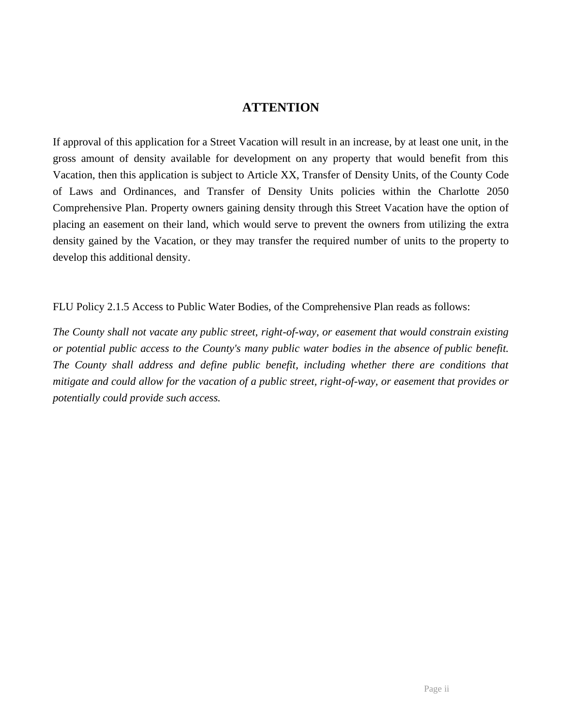## **ATTENTION**

If approval of this application for a Street Vacation will result in an increase, by at least one unit, in the gross amount of density available for development on any property that would benefit from this Vacation, then this application is subject to Article XX, Transfer of Density Units, of the County Code of Laws and Ordinances, and Transfer of Density Units policies within the Charlotte 2050 Comprehensive Plan. Property owners gaining density through this Street Vacation have the option of placing an easement on their land, which would serve to prevent the owners from utilizing the extra density gained by the Vacation, or they may transfer the required number of units to the property to develop this additional density.

FLU Policy 2.1.5 Access to Public Water Bodies, of the Comprehensive Plan reads as follows:

*The County shall not vacate any public street, right-of-way, or easement that would constrain existing or potential public access to the County's many public water bodies in the absence of public benefit. The County shall address and define public benefit, including whether there are conditions that mitigate and could allow for the vacation of a public street, right-of-way, or easement that provides or potentially could provide such access.*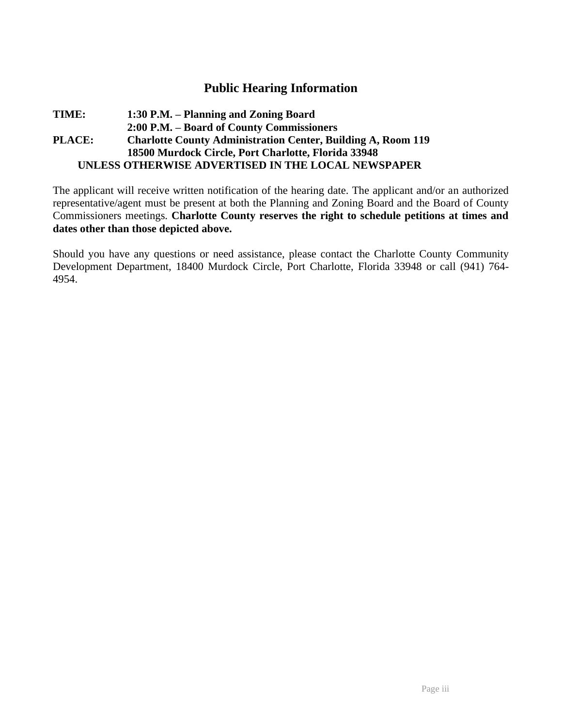## **Public Hearing Information**

#### **TIME: 1:30 P.M. – Planning and Zoning Board 2:00 P.M. – Board of County Commissioners PLACE: Charlotte County Administration Center, Building A, Room 119 18500 Murdock Circle, Port Charlotte, Florida 33948 UNLESS OTHERWISE ADVERTISED IN THE LOCAL NEWSPAPER**

The applicant will receive written notification of the hearing date. The applicant and/or an authorized representative/agent must be present at both the Planning and Zoning Board and the Board of County Commissioners meetings. **Charlotte County reserves the right to schedule petitions at times and dates other than those depicted above.** 

Should you have any questions or need assistance, please contact the Charlotte County Community Development Department, 18400 Murdock Circle, Port Charlotte, Florida 33948 or call (941) 764- 4954.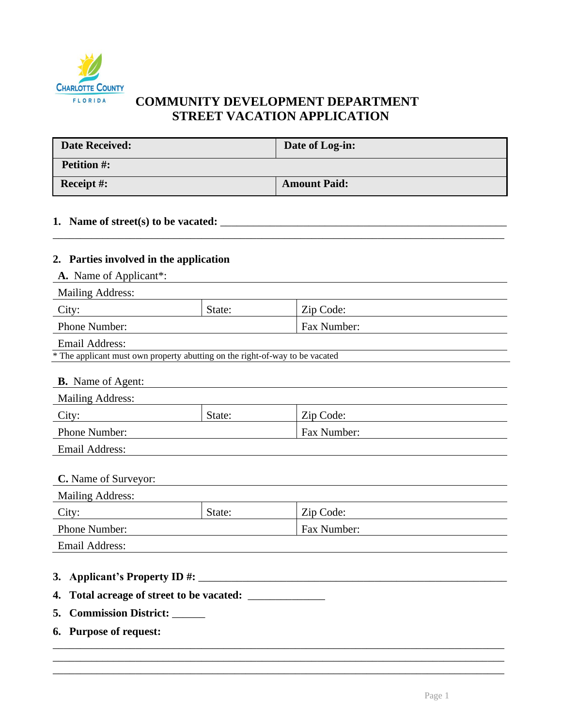

# **COMMUNITY DEVELOPMENT DEPARTMENT STREET VACATION APPLICATION**

| <b>Date Received:</b> | Date of Log-in:     |
|-----------------------|---------------------|
| <b>Petition #:</b>    |                     |
| <b>Receipt #:</b>     | <b>Amount Paid:</b> |

\_\_\_\_\_\_\_\_\_\_\_\_\_\_\_\_\_\_\_\_\_\_\_\_\_\_\_\_\_\_\_\_\_\_\_\_\_\_\_\_\_\_\_\_\_\_\_\_\_\_\_\_\_\_\_\_\_\_\_\_\_\_\_\_\_\_\_\_\_\_\_\_\_\_\_\_\_\_\_\_\_\_

## **1. Name of street(s) to be vacated:** \_\_\_\_\_\_\_\_\_\_\_\_\_\_\_\_\_\_\_\_\_\_\_\_\_\_\_\_\_\_\_\_\_\_\_\_\_\_\_\_\_\_\_\_\_\_\_\_\_\_\_\_

### **2. Parties involved in the application**

**A.** Name of Applicant\*:

| <b>Mailing Address:</b> |        |             |  |
|-------------------------|--------|-------------|--|
| City:                   | State: | Zip Code:   |  |
| <b>Phone Number:</b>    |        | Fax Number: |  |
|                         |        |             |  |

Email Address:

|  | * The applicant must own property abutting on the right-of-way to be vacated |  |  |  |  |
|--|------------------------------------------------------------------------------|--|--|--|--|
|  |                                                                              |  |  |  |  |

| <b>B.</b> Name of Agent: |        |             |  |
|--------------------------|--------|-------------|--|
| Mailing Address:         |        |             |  |
| City:                    | State: | Zip Code:   |  |
| Phone Number:            |        | Fax Number: |  |
| Email Address:           |        |             |  |

| <b>Mailing Address:</b> |        |             |
|-------------------------|--------|-------------|
| City:                   | State: | Zip Code:   |
| Phone Number:           |        | Fax Number: |
| Email Address:          |        |             |

\_\_\_\_\_\_\_\_\_\_\_\_\_\_\_\_\_\_\_\_\_\_\_\_\_\_\_\_\_\_\_\_\_\_\_\_\_\_\_\_\_\_\_\_\_\_\_\_\_\_\_\_\_\_\_\_\_\_\_\_\_\_\_\_\_\_\_\_\_\_\_\_\_\_\_\_\_\_\_\_\_\_ \_\_\_\_\_\_\_\_\_\_\_\_\_\_\_\_\_\_\_\_\_\_\_\_\_\_\_\_\_\_\_\_\_\_\_\_\_\_\_\_\_\_\_\_\_\_\_\_\_\_\_\_\_\_\_\_\_\_\_\_\_\_\_\_\_\_\_\_\_\_\_\_\_\_\_\_\_\_\_\_\_\_

- **3. Applicant's Property ID #:** \_\_\_\_\_\_\_\_\_\_\_\_\_\_\_\_\_\_\_\_\_\_\_\_\_\_\_\_\_\_\_\_\_\_\_\_\_\_\_\_\_\_\_\_\_\_\_\_\_\_\_\_\_\_\_\_
- **4. Total acreage of street to be vacated:** \_\_\_\_\_\_\_\_\_\_\_\_\_\_
- **5. Commission District:** \_\_\_\_\_\_
- **6. Purpose of request:** \_\_\_\_\_\_\_\_\_\_\_\_\_\_\_\_\_\_\_\_\_\_\_\_\_\_\_\_\_\_\_\_\_\_\_\_\_\_\_\_\_\_\_\_\_\_\_\_\_\_\_\_\_\_\_\_\_\_\_\_\_\_\_\_\_\_\_\_\_\_\_\_\_\_\_\_\_\_\_\_\_\_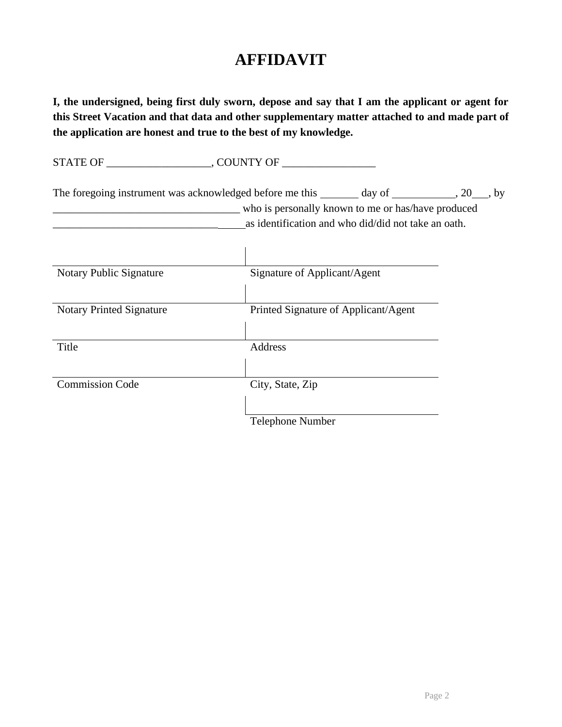# **AFFIDAVIT**

**I, the undersigned, being first duly sworn, depose and say that I am the applicant or agent for this Street Vacation and that data and other supplementary matter attached to and made part of the application are honest and true to the best of my knowledge.**

STATE OF \_\_\_\_\_\_\_\_\_\_\_\_\_\_\_\_\_\_\_, COUNTY OF \_\_\_\_\_\_\_\_\_\_\_\_\_\_\_\_\_ The foregoing instrument was acknowledged before me this  $\_\_\_$  day of  $\_\_\_$ , 20  $\_\_$ , by \_\_\_\_\_\_\_\_\_\_\_\_\_\_\_\_\_\_\_\_\_\_\_\_\_\_\_\_\_\_\_\_\_\_ who is personally known to me or has/have produced as identification and who did/did not take an oath. Notary Public Signature Signature Signature of Applicant/Agent Notary Printed Signature Printed Signature of Applicant/Agent Title Address **Commission Code** City, State, Zip Telephone Number